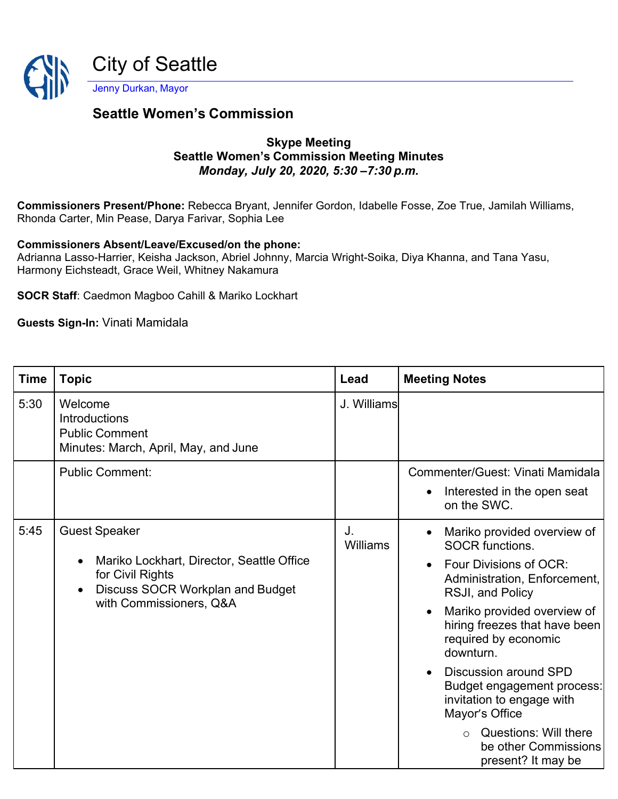

## **Seattle Women's Commission**

## **Skype Meeting Seattle Women's Commission Meeting Minutes**  *Monday, July 20, 2020, 5:30 –7:30 p.m.*

**Commissioners Present/Phone:** Rebecca Bryant, Jennifer Gordon, Idabelle Fosse, Zoe True, Jamilah Williams, Rhonda Carter, Min Pease, Darya Farivar, Sophia Lee

**Commissioners Absent/Leave/Excused/on the phone:**

Adrianna Lasso-Harrier, Keisha Jackson, Abriel Johnny, Marcia Wright-Soika, Diya Khanna, and Tana Yasu, Harmony Eichsteadt, Grace Weil, Whitney Nakamura

**SOCR Staff**: Caedmon Magboo Cahill & Mariko Lockhart

**Guests Sign-In:** Vinati Mamidala

| <b>Time</b> | <b>Topic</b>                                                                                                                                                                          | Lead           | <b>Meeting Notes</b>                                                                                                                                                                                                                                                                                                                                                                                                                                                                        |
|-------------|---------------------------------------------------------------------------------------------------------------------------------------------------------------------------------------|----------------|---------------------------------------------------------------------------------------------------------------------------------------------------------------------------------------------------------------------------------------------------------------------------------------------------------------------------------------------------------------------------------------------------------------------------------------------------------------------------------------------|
| 5:30        | Welcome<br><b>Introductions</b><br><b>Public Comment</b><br>Minutes: March, April, May, and June                                                                                      | J. Williams    |                                                                                                                                                                                                                                                                                                                                                                                                                                                                                             |
|             | <b>Public Comment:</b>                                                                                                                                                                |                | Commenter/Guest: Vinati Mamidala<br>Interested in the open seat<br>$\bullet$<br>on the SWC.                                                                                                                                                                                                                                                                                                                                                                                                 |
| 5:45        | <b>Guest Speaker</b><br>Mariko Lockhart, Director, Seattle Office<br>$\bullet$<br>for Civil Rights<br><b>Discuss SOCR Workplan and Budget</b><br>$\bullet$<br>with Commissioners, Q&A | J.<br>Williams | Mariko provided overview of<br>$\bullet$<br><b>SOCR functions.</b><br>Four Divisions of OCR:<br>$\bullet$<br>Administration, Enforcement,<br>RSJI, and Policy<br>Mariko provided overview of<br>$\bullet$<br>hiring freezes that have been<br>required by economic<br>downturn.<br>Discussion around SPD<br>$\bullet$<br>Budget engagement process:<br>invitation to engage with<br>Mayor's Office<br><b>Questions: Will there</b><br>$\circ$<br>be other Commissions<br>present? It may be |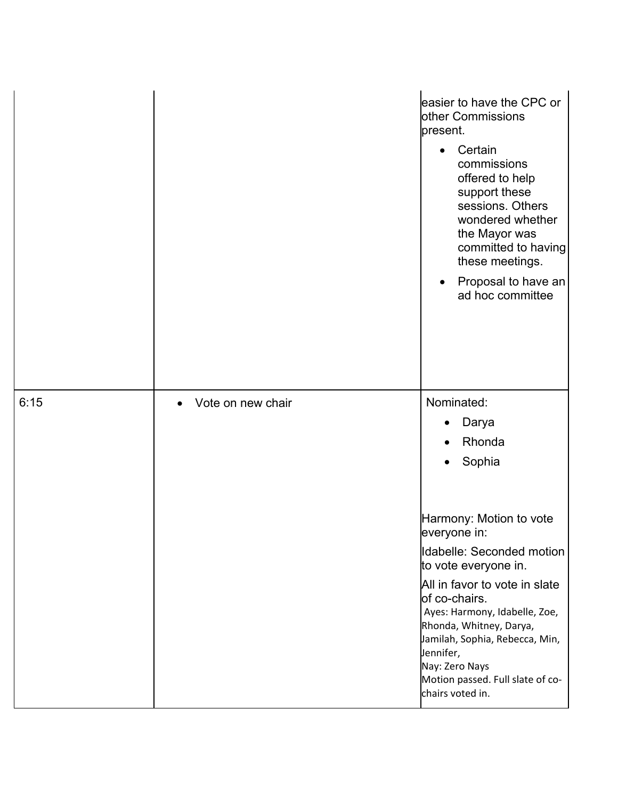|      |                   | easier to have the CPC or<br>other Commissions<br>present.<br>Certain<br>$\bullet$<br>commissions<br>offered to help<br>support these<br>sessions. Others<br>wondered whether<br>the Mayor was<br>committed to having<br>these meetings.<br>Proposal to have an<br>$\bullet$<br>ad hoc committee |
|------|-------------------|--------------------------------------------------------------------------------------------------------------------------------------------------------------------------------------------------------------------------------------------------------------------------------------------------|
| 6:15 | Vote on new chair | Nominated:<br>Darya                                                                                                                                                                                                                                                                              |
|      |                   | Rhonda                                                                                                                                                                                                                                                                                           |
|      |                   | Sophia                                                                                                                                                                                                                                                                                           |
|      |                   |                                                                                                                                                                                                                                                                                                  |
|      |                   | Harmony: Motion to vote<br>everyone in:                                                                                                                                                                                                                                                          |
|      |                   | Idabelle: Seconded motion<br>to vote everyone in.                                                                                                                                                                                                                                                |
|      |                   | All in favor to vote in slate<br>of co-chairs.<br>Ayes: Harmony, Idabelle, Zoe,<br>Rhonda, Whitney, Darya,<br>Jamilah, Sophia, Rebecca, Min,<br>Jennifer,<br>Nay: Zero Nays<br>Motion passed. Full slate of co-<br>chairs voted in.                                                              |